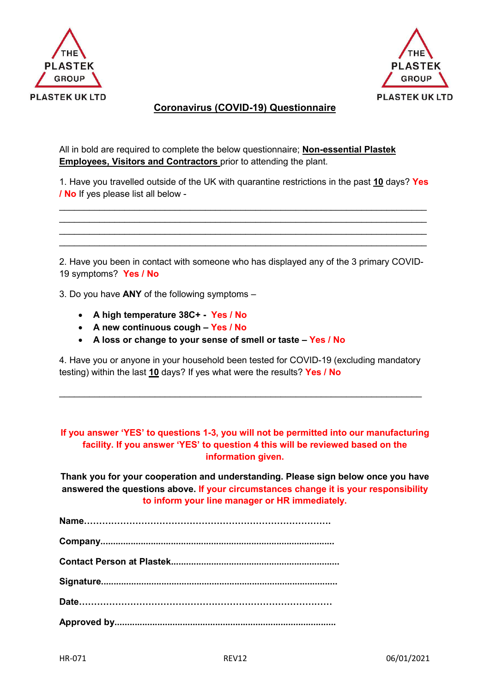



## **Coronavirus (COVID-19) Questionnaire**

All in bold are required to complete the below questionnaire; **Non-essential Plastek Employees, Visitors and Contractors** prior to attending the plant.

1. Have you travelled outside of the UK with quarantine restrictions in the past **10** days? **Yes / No** If yes please list all below -

 $\_$  , and the set of the set of the set of the set of the set of the set of the set of the set of the set of the set of the set of the set of the set of the set of the set of the set of the set of the set of the set of th  $\_$  , and the set of the set of the set of the set of the set of the set of the set of the set of the set of the set of the set of the set of the set of the set of the set of the set of the set of the set of the set of th  $\_$  , and the set of the set of the set of the set of the set of the set of the set of the set of the set of the set of the set of the set of the set of the set of the set of the set of the set of the set of the set of th  $\_$  , and the set of the set of the set of the set of the set of the set of the set of the set of the set of the set of the set of the set of the set of the set of the set of the set of the set of the set of the set of th

2. Have you been in contact with someone who has displayed any of the 3 primary COVID-19 symptoms? **Yes / No** 

3. Do you have **ANY** of the following symptoms –

- **A high temperature 38C+ Yes / No**
- **A new continuous cough Yes / No**
- **A loss or change to your sense of smell or taste Yes / No**

4. Have you or anyone in your household been tested for COVID-19 (excluding mandatory testing) within the last **10** days? If yes what were the results? **Yes / No**

 $\_$  , and the set of the set of the set of the set of the set of the set of the set of the set of the set of the set of the set of the set of the set of the set of the set of the set of the set of the set of the set of th

## **If you answer 'YES' to questions 1-3, you will not be permitted into our manufacturing facility. If you answer 'YES' to question 4 this will be reviewed based on the information given.**

**Thank you for your cooperation and understanding. Please sign below once you have answered the questions above. If your circumstances change it is your responsibility to inform your line manager or HR immediately.**